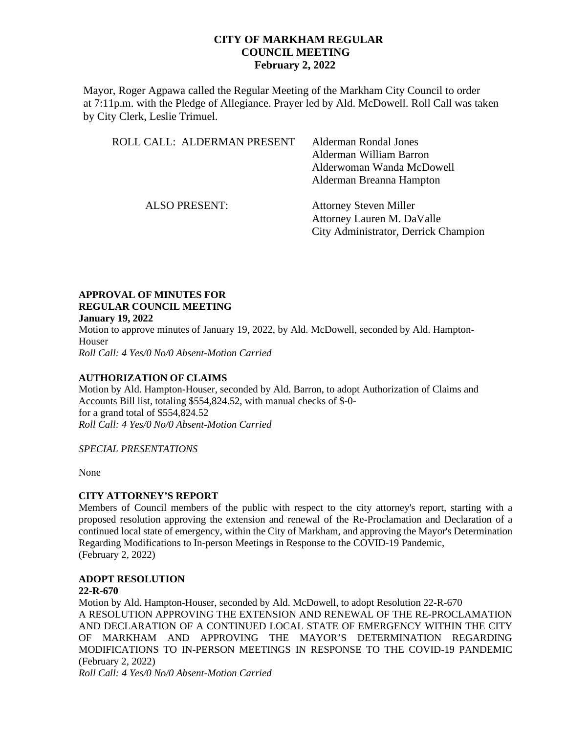Mayor, Roger Agpawa called the Regular Meeting of the Markham City Council to order at 7:11p.m. with the Pledge of Allegiance. Prayer led by Ald. McDowell. Roll Call was taken by City Clerk, Leslie Trimuel.

| ROLL CALL: ALDERMAN PRESENT | Alderman Rondal Jones<br>Alderman William Barron<br>Alderwoman Wanda McDowell<br>Alderman Breanna Hampton |
|-----------------------------|-----------------------------------------------------------------------------------------------------------|
| <b>ALSO PRESENT:</b>        | <b>Attorney Steven Miller</b><br>Attorney Lauren M. DaValle                                               |

City Administrator, Derrick Champion

## **APPROVAL OF MINUTES FOR REGULAR COUNCIL MEETING**

**January 19, 2022** Motion to approve minutes of January 19, 2022, by Ald. McDowell, seconded by Ald. Hampton-Houser *Roll Call: 4 Yes/0 No/0 Absent-Motion Carried*

### **AUTHORIZATION OF CLAIMS**

Motion by Ald. Hampton-Houser, seconded by Ald. Barron, to adopt Authorization of Claims and Accounts Bill list, totaling \$554,824.52, with manual checks of \$-0 for a grand total of \$554,824.52 *Roll Call: 4 Yes/0 No/0 Absent-Motion Carried* 

*SPECIAL PRESENTATIONS*

None

### **CITY ATTORNEY'S REPORT**

Members of Council members of the public with respect to the city attorney's report, starting with a proposed resolution approving the extension and renewal of the Re-Proclamation and Declaration of a continued local state of emergency, within the City of Markham, and approving the Mayor's Determination Regarding Modifications to In-person Meetings in Response to the COVID-19 Pandemic, (February 2, 2022)

# **ADOPT RESOLUTION**

### **22-R-670**

Motion by Ald. Hampton-Houser, seconded by Ald. McDowell, to adopt Resolution 22-R-670 A RESOLUTION APPROVING THE EXTENSION AND RENEWAL OF THE RE-PROCLAMATION AND DECLARATION OF A CONTINUED LOCAL STATE OF EMERGENCY WITHIN THE CITY OF MARKHAM AND APPROVING THE MAYOR'S DETERMINATION REGARDING MODIFICATIONS TO IN-PERSON MEETINGS IN RESPONSE TO THE COVID-19 PANDEMIC (February 2, 2022)

*Roll Call: 4 Yes/0 No/0 Absent-Motion Carried*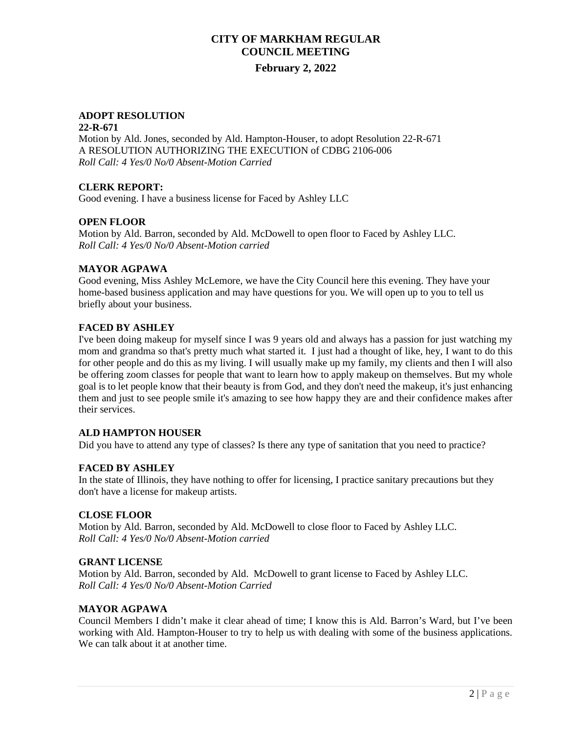### **ADOPT RESOLUTION**

#### **22-R-671**

Motion by Ald. Jones, seconded by Ald. Hampton-Houser, to adopt Resolution 22-R-671 A RESOLUTION AUTHORIZING THE EXECUTION of CDBG 2106-006 *Roll Call: 4 Yes/0 No/0 Absent-Motion Carried* 

### **CLERK REPORT:**

Good evening. I have a business license for Faced by Ashley LLC

### **OPEN FLOOR**

Motion by Ald. Barron, seconded by Ald. McDowell to open floor to Faced by Ashley LLC. *Roll Call: 4 Yes/0 No/0 Absent-Motion carried*

#### **MAYOR AGPAWA**

Good evening, Miss Ashley McLemore, we have the City Council here this evening. They have your home-based business application and may have questions for you. We will open up to you to tell us briefly about your business.

### **FACED BY ASHLEY**

I've been doing makeup for myself since I was 9 years old and always has a passion for just watching my mom and grandma so that's pretty much what started it. I just had a thought of like, hey, I want to do this for other people and do this as my living. I will usually make up my family, my clients and then I will also be offering zoom classes for people that want to learn how to apply makeup on themselves. But my whole goal is to let people know that their beauty is from God, and they don't need the makeup, it's just enhancing them and just to see people smile it's amazing to see how happy they are and their confidence makes after their services.

### **ALD HAMPTON HOUSER**

Did you have to attend any type of classes? Is there any type of sanitation that you need to practice?

### **FACED BY ASHLEY**

In the state of Illinois, they have nothing to offer for licensing, I practice sanitary precautions but they don't have a license for makeup artists.

### **CLOSE FLOOR**

Motion by Ald. Barron, seconded by Ald. McDowell to close floor to Faced by Ashley LLC. *Roll Call: 4 Yes/0 No/0 Absent-Motion carried*

#### **GRANT LICENSE**

Motion by Ald. Barron, seconded by Ald. McDowell to grant license to Faced by Ashley LLC. *Roll Call: 4 Yes/0 No/0 Absent-Motion Carried* 

### **MAYOR AGPAWA**

Council Members I didn't make it clear ahead of time; I know this is Ald. Barron's Ward, but I've been working with Ald. Hampton-Houser to try to help us with dealing with some of the business applications. We can talk about it at another time.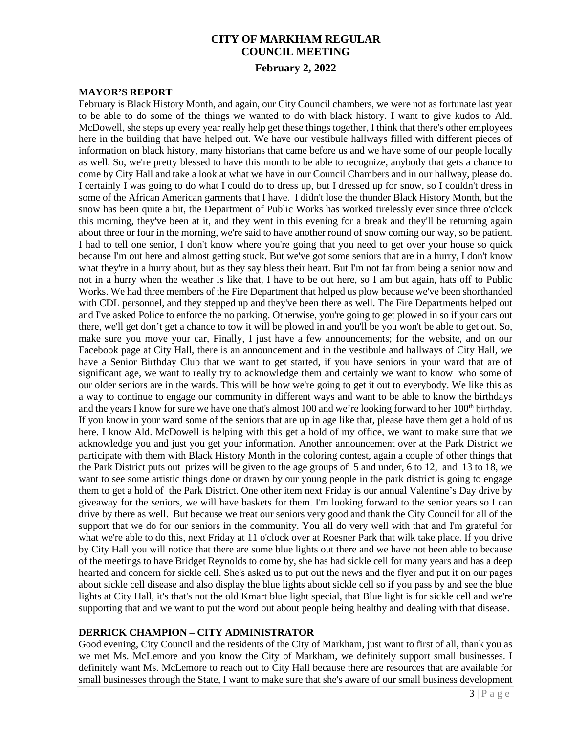#### **MAYOR'S REPORT**

February is Black History Month, and again, our City Council chambers, we were not as fortunate last year to be able to do some of the things we wanted to do with black history. I want to give kudos to Ald. McDowell, she steps up every year really help get these things together, I think that there's other employees here in the building that have helped out. We have our vestibule hallways filled with different pieces of information on black history, many historians that came before us and we have some of our people locally as well. So, we're pretty blessed to have this month to be able to recognize, anybody that gets a chance to come by City Hall and take a look at what we have in our Council Chambers and in our hallway, please do. I certainly I was going to do what I could do to dress up, but I dressed up for snow, so I couldn't dress in some of the African American garments that I have. I didn't lose the thunder Black History Month, but the snow has been quite a bit, the Department of Public Works has worked tirelessly ever since three o'clock this morning, they've been at it, and they went in this evening for a break and they'll be returning again about three or four in the morning, we're said to have another round of snow coming our way, so be patient. I had to tell one senior, I don't know where you're going that you need to get over your house so quick because I'm out here and almost getting stuck. But we've got some seniors that are in a hurry, I don't know what they're in a hurry about, but as they say bless their heart. But I'm not far from being a senior now and not in a hurry when the weather is like that, I have to be out here, so I am but again, hats off to Public Works. We had three members of the Fire Department that helped us plow because we've been shorthanded with CDL personnel, and they stepped up and they've been there as well. The Fire Departments helped out and I've asked Police to enforce the no parking. Otherwise, you're going to get plowed in so if your cars out there, we'll get don't get a chance to tow it will be plowed in and you'll be you won't be able to get out. So, make sure you move your car, Finally, I just have a few announcements; for the website, and on our Facebook page at City Hall, there is an announcement and in the vestibule and hallways of City Hall, we have a Senior Birthday Club that we want to get started, if you have seniors in your ward that are of significant age, we want to really try to acknowledge them and certainly we want to know who some of our older seniors are in the wards. This will be how we're going to get it out to everybody. We like this as a way to continue to engage our community in different ways and want to be able to know the birthdays and the years I know for sure we have one that's almost 100 and we're looking forward to her 100<sup>th</sup> birthday. If you know in your ward some of the seniors that are up in age like that, please have them get a hold of us here. I know Ald. McDowell is helping with this get a hold of my office, we want to make sure that we acknowledge you and just you get your information. Another announcement over at the Park District we participate with them with Black History Month in the coloring contest, again a couple of other things that the Park District puts out prizes will be given to the age groups of 5 and under, 6 to 12, and 13 to 18, we want to see some artistic things done or drawn by our young people in the park district is going to engage them to get a hold of the Park District. One other item next Friday is our annual Valentine's Day drive by giveaway for the seniors, we will have baskets for them. I'm looking forward to the senior years so I can drive by there as well. But because we treat our seniors very good and thank the City Council for all of the support that we do for our seniors in the community. You all do very well with that and I'm grateful for what we're able to do this, next Friday at 11 o'clock over at Roesner Park that wilk take place. If you drive by City Hall you will notice that there are some blue lights out there and we have not been able to because of the meetings to have Bridget Reynolds to come by, she has had sickle cell for many years and has a deep hearted and concern for sickle cell. She's asked us to put out the news and the flyer and put it on our pages about sickle cell disease and also display the blue lights about sickle cell so if you pass by and see the blue lights at City Hall, it's that's not the old Kmart blue light special, that Blue light is for sickle cell and we're supporting that and we want to put the word out about people being healthy and dealing with that disease.

#### **DERRICK CHAMPION – CITY ADMINISTRATOR**

Good evening, City Council and the residents of the City of Markham, just want to first of all, thank you as we met Ms. McLemore and you know the City of Markham, we definitely support small businesses. I definitely want Ms. McLemore to reach out to City Hall because there are resources that are available for small businesses through the State, I want to make sure that she's aware of our small business development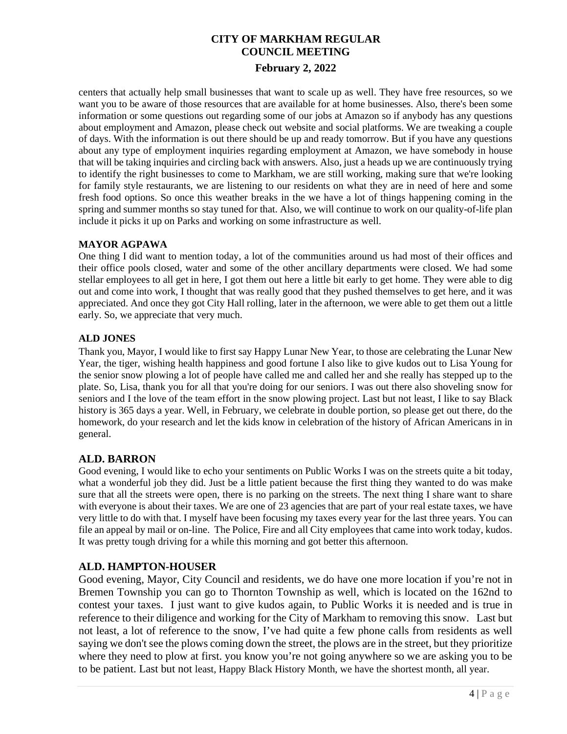centers that actually help small businesses that want to scale up as well. They have free resources, so we want you to be aware of those resources that are available for at home businesses. Also, there's been some information or some questions out regarding some of our jobs at Amazon so if anybody has any questions about employment and Amazon, please check out website and social platforms. We are tweaking a couple of days. With the information is out there should be up and ready tomorrow. But if you have any questions about any type of employment inquiries regarding employment at Amazon, we have somebody in house that will be taking inquiries and circling back with answers. Also, just a heads up we are continuously trying to identify the right businesses to come to Markham, we are still working, making sure that we're looking for family style restaurants, we are listening to our residents on what they are in need of here and some fresh food options. So once this weather breaks in the we have a lot of things happening coming in the spring and summer months so stay tuned for that. Also, we will continue to work on our quality-of-life plan include it picks it up on Parks and working on some infrastructure as well.

### **MAYOR AGPAWA**

One thing I did want to mention today, a lot of the communities around us had most of their offices and their office pools closed, water and some of the other ancillary departments were closed. We had some stellar employees to all get in here, I got them out here a little bit early to get home. They were able to dig out and come into work, I thought that was really good that they pushed themselves to get here, and it was appreciated. And once they got City Hall rolling, later in the afternoon, we were able to get them out a little early. So, we appreciate that very much.

### **ALD JONES**

Thank you, Mayor, I would like to first say Happy Lunar New Year, to those are celebrating the Lunar New Year, the tiger, wishing health happiness and good fortune I also like to give kudos out to Lisa Young for the senior snow plowing a lot of people have called me and called her and she really has stepped up to the plate. So, Lisa, thank you for all that you're doing for our seniors. I was out there also shoveling snow for seniors and I the love of the team effort in the snow plowing project. Last but not least, I like to say Black history is 365 days a year. Well, in February, we celebrate in double portion, so please get out there, do the homework, do your research and let the kids know in celebration of the history of African Americans in in general.

# **ALD. BARRON**

Good evening, I would like to echo your sentiments on Public Works I was on the streets quite a bit today, what a wonderful job they did. Just be a little patient because the first thing they wanted to do was make sure that all the streets were open, there is no parking on the streets. The next thing I share want to share with everyone is about their taxes. We are one of 23 agencies that are part of your real estate taxes, we have very little to do with that. I myself have been focusing my taxes every year for the last three years. You can file an appeal by mail or on-line. The Police, Fire and all City employees that came into work today, kudos. It was pretty tough driving for a while this morning and got better this afternoon.

# **ALD. HAMPTON-HOUSER**

Good evening, Mayor, City Council and residents, we do have one more location if you're not in Bremen Township you can go to Thornton Township as well, which is located on the 162nd to contest your taxes. I just want to give kudos again, to Public Works it is needed and is true in reference to their diligence and working for the City of Markham to removing this snow. Last but not least, a lot of reference to the snow, I've had quite a few phone calls from residents as well saying we don't see the plows coming down the street, the plows are in the street, but they prioritize where they need to plow at first. you know you're not going anywhere so we are asking you to be to be patient. Last but not least, Happy Black History Month, we have the shortest month, all year.